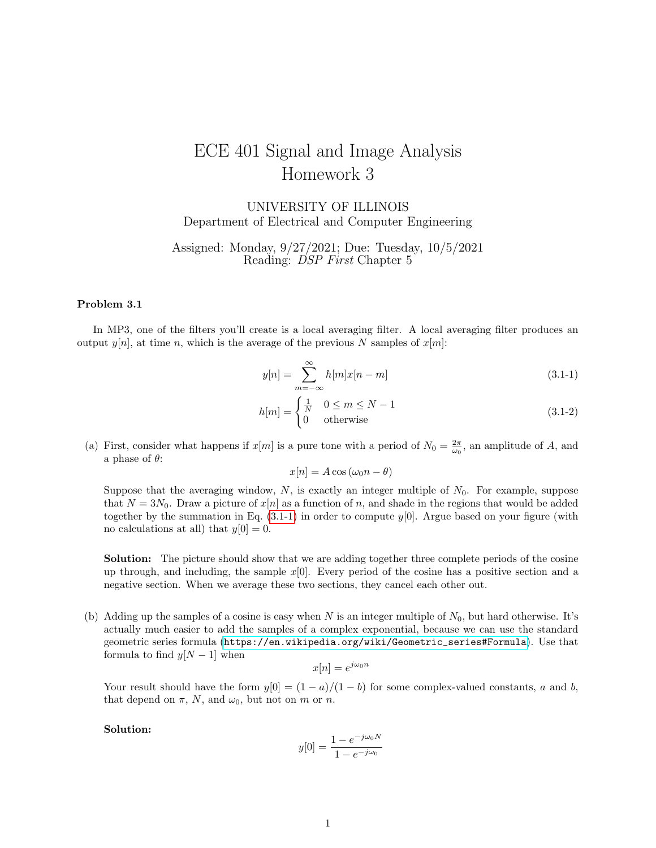## ECE 401 Signal and Image Analysis Homework 3

UNIVERSITY OF ILLINOIS Department of Electrical and Computer Engineering

Assigned: Monday, 9/27/2021; Due: Tuesday, 10/5/2021 Reading: DSP First Chapter 5

## Problem 3.1

In MP3, one of the filters you'll create is a local averaging filter. A local averaging filter produces an output  $y[n]$ , at time n, which is the average of the previous N samples of  $x[m]$ :

$$
y[n] = \sum_{m = -\infty}^{\infty} h[m]x[n-m]
$$
\n(3.1-1)

$$
h[m] = \begin{cases} \frac{1}{N} & 0 \le m \le N - 1\\ 0 & \text{otherwise} \end{cases}
$$
 (3.1-2)

(a) First, consider what happens if  $x[m]$  is a pure tone with a period of  $N_0 = \frac{2\pi}{\omega_0}$ , an amplitude of A, and a phase of  $\theta$ :

<span id="page-0-0"></span>
$$
x[n] = A\cos\left(\omega_0 n - \theta\right)
$$

Suppose that the averaging window,  $N$ , is exactly an integer multiple of  $N_0$ . For example, suppose that  $N = 3N_0$ . Draw a picture of  $x[n]$  as a function of n, and shade in the regions that would be added together by the summation in Eq.  $(3.1-1)$  in order to compute  $y[0]$ . Argue based on your figure (with no calculations at all) that  $y[0] = 0$ .

Solution: The picture should show that we are adding together three complete periods of the cosine up through, and including, the sample  $x[0]$ . Every period of the cosine has a positive section and a negative section. When we average these two sections, they cancel each other out.

(b) Adding up the samples of a cosine is easy when N is an integer multiple of  $N_0$ , but hard otherwise. It's actually much easier to add the samples of a complex exponential, because we can use the standard geometric series formula ([https://en.wikipedia.org/wiki/Geometric\\_series#Formula](https://en.wikipedia.org/wiki/Geometric_series#Formula)). Use that formula to find  $y[N-1]$  when

$$
x[n] = e^{j\omega_0 n}
$$

Your result should have the form  $y[0] = (1 - a)/(1 - b)$  for some complex-valued constants, a and b, that depend on  $\pi$ , N, and  $\omega_0$ , but not on m or n.

Solution:

$$
y[0] = \frac{1 - e^{-j\omega_0 N}}{1 - e^{-j\omega_0}}
$$